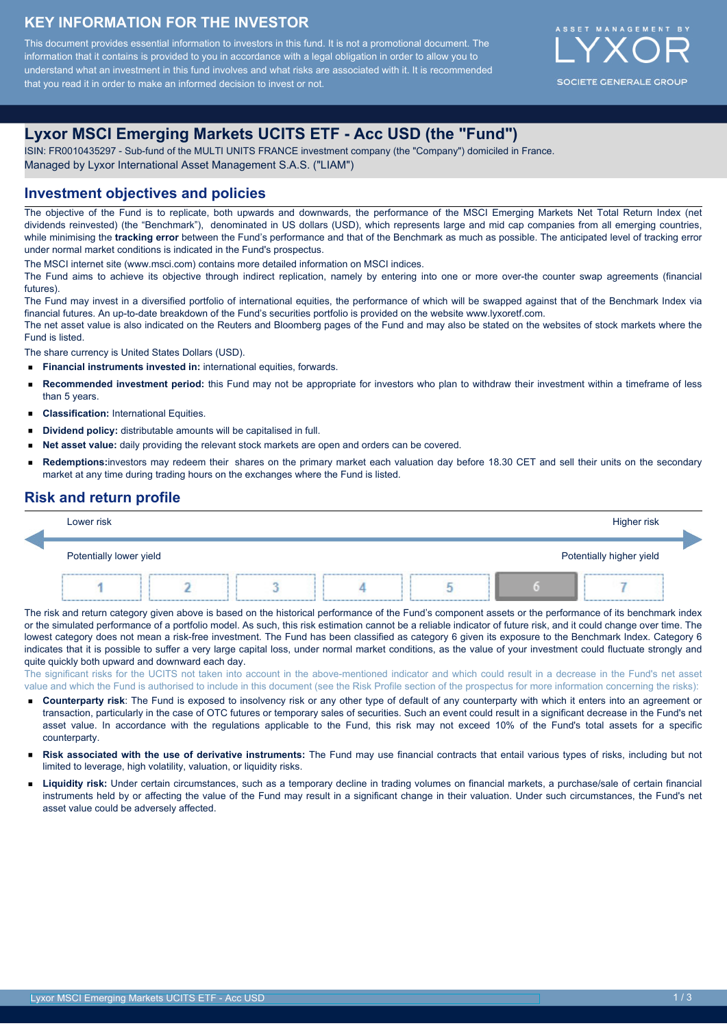### **KEY INFORMATION FOR THE INVESTOR**

This document provides essential information to investors in this fund. It is not a promotional document. The information that it contains is provided to you in accordance with a legal obligation in order to allow you to understand what an investment in this fund involves and what risks are associated with it. It is recommended that you read it in order to make an informed decision to invest or not.



## **Lyxor MSCI Emerging Markets UCITS ETF - Acc USD (the "Fund")**

ISIN: FR0010435297 - Sub-fund of the MULTI UNITS FRANCE investment company (the "Company") domiciled in France. Managed by Lyxor International Asset Management S.A.S. ("LIAM")

#### **Investment objectives and policies**

The objective of the Fund is to replicate, both upwards and downwards, the performance of the MSCI Emerging Markets Net Total Return Index (net dividends reinvested) (the "Benchmark"), denominated in US dollars (USD), which represents large and mid cap companies from all emerging countries, while minimising the **tracking error** between the Fund's performance and that of the Benchmark as much as possible. The anticipated level of tracking error under normal market conditions is indicated in the Fund's prospectus.

The MSCI internet site (www.msci.com) contains more detailed information on MSCI indices.

The Fund aims to achieve its objective through indirect replication, namely by entering into one or more over-the counter swap agreements (financial futures).

The Fund may invest in a diversified portfolio of international equities, the performance of which will be swapped against that of the Benchmark Index via financial futures. An up-to-date breakdown of the Fund's securities portfolio is provided on the website www.lyxoretf.com.

The net asset value is also indicated on the Reuters and Bloomberg pages of the Fund and may also be stated on the websites of stock markets where the Fund is listed.

The share currency is United States Dollars (USD).

- **Financial instruments invested in:** international equities, forwards.
- $\blacksquare$ **Recommended investment period:** this Fund may not be appropriate for investors who plan to withdraw their investment within a timeframe of less than 5 years.
- **Classification:** International Equities.  $\blacksquare$
- $\blacksquare$ **Dividend policy:** distributable amounts will be capitalised in full.
- **Net asset value:** daily providing the relevant stock markets are open and orders can be covered.
- **Redemptions:**investors may redeem their shares on the primary market each valuation day before 18.30 CET and sell their units on the secondary market at any time during trading hours on the exchanges where the Fund is listed.

### **Risk and return profile**

| Lower risk              |      |  |  |  |  | Higher risk              |  |
|-------------------------|------|--|--|--|--|--------------------------|--|
| Potentially lower yield |      |  |  |  |  | Potentially higher yield |  |
| --------                | ---- |  |  |  |  | --------------           |  |

The risk and return category given above is based on the historical performance of the Fund's component assets or the performance of its benchmark index or the simulated performance of a portfolio model. As such, this risk estimation cannot be a reliable indicator of future risk, and it could change over time. The lowest category does not mean a risk-free investment. The Fund has been classified as category 6 given its exposure to the Benchmark Index. Category 6 indicates that it is possible to suffer a very large capital loss, under normal market conditions, as the value of your investment could fluctuate strongly and quite quickly both upward and downward each day.

The significant risks for the UCITS not taken into account in the above-mentioned indicator and which could result in a decrease in the Fund's net asset value and which the Fund is authorised to include in this document (see the Risk Profile section of the prospectus for more information concerning the risks):

- **Counterparty risk**: The Fund is exposed to insolvency risk or any other type of default of any counterparty with which it enters into an agreement or transaction, particularly in the case of OTC futures or temporary sales of securities. Such an event could result in a significant decrease in the Fund's net asset value. In accordance with the regulations applicable to the Fund, this risk may not exceed 10% of the Fund's total assets for a specific counterparty.
- **Risk associated with the use of derivative instruments:** The Fund may use financial contracts that entail various types of risks, including but not limited to leverage, high volatility, valuation, or liquidity risks.
- **Liquidity risk:** Under certain circumstances, such as a temporary decline in trading volumes on financial markets, a purchase/sale of certain financial instruments held by or affecting the value of the Fund may result in a significant change in their valuation. Under such circumstances, the Fund's net asset value could be adversely affected.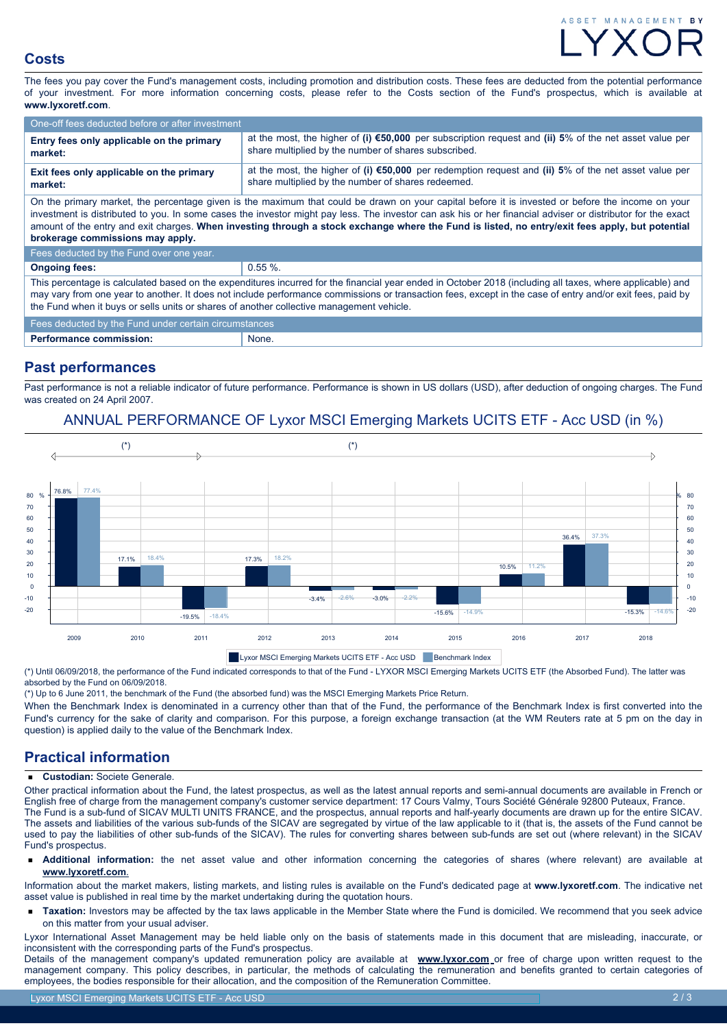# ASSET MANAGEMENT

### **Costs**

The fees you pay cover the Fund's management costs, including promotion and distribution costs. These fees are deducted from the potential performance of your investment. For more information concerning costs, please refer to the Costs section of the Fund's prospectus, which is available at **www.lyxoretf.com**.

| One-off fees deducted before or after investment                                                                                                                                                                                                                                                                                                                                                                                                                                                        |                                                                                                                                                                          |  |  |  |  |
|---------------------------------------------------------------------------------------------------------------------------------------------------------------------------------------------------------------------------------------------------------------------------------------------------------------------------------------------------------------------------------------------------------------------------------------------------------------------------------------------------------|--------------------------------------------------------------------------------------------------------------------------------------------------------------------------|--|--|--|--|
| Entry fees only applicable on the primary<br>market:                                                                                                                                                                                                                                                                                                                                                                                                                                                    | at the most, the higher of (i) $\epsilon$ 50,000 per subscription request and (ii) 5% of the net asset value per<br>share multiplied by the number of shares subscribed. |  |  |  |  |
| Exit fees only applicable on the primary<br>market:                                                                                                                                                                                                                                                                                                                                                                                                                                                     | at the most, the higher of (i) $\epsilon$ 50,000 per redemption request and (ii) 5% of the net asset value per<br>share multiplied by the number of shares redeemed.     |  |  |  |  |
| On the primary market, the percentage given is the maximum that could be drawn on your capital before it is invested or before the income on your<br>investment is distributed to you. In some cases the investor might pay less. The investor can ask his or her financial adviser or distributor for the exact<br>amount of the entry and exit charges. When investing through a stock exchange where the Fund is listed, no entry/exit fees apply, but potential<br>brokerage commissions may apply. |                                                                                                                                                                          |  |  |  |  |
| Fees deducted by the Fund over one year.                                                                                                                                                                                                                                                                                                                                                                                                                                                                |                                                                                                                                                                          |  |  |  |  |
| <b>Ongoing fees:</b>                                                                                                                                                                                                                                                                                                                                                                                                                                                                                    | $0.55 \%$                                                                                                                                                                |  |  |  |  |
| This percentage is calculated based on the expenditures incurred for the financial year ended in October 2018 (including all taxes, where applicable) and<br>may vary from one year to another. It does not include performance commissions or transaction fees, except in the case of entry and/or exit fees, paid by<br>the Fund when it buys or sells units or shares of another collective management vehicle.                                                                                      |                                                                                                                                                                          |  |  |  |  |
| Fees deducted by the Fund under certain circumstances                                                                                                                                                                                                                                                                                                                                                                                                                                                   |                                                                                                                                                                          |  |  |  |  |
| <b>Performance commission:</b>                                                                                                                                                                                                                                                                                                                                                                                                                                                                          | None.                                                                                                                                                                    |  |  |  |  |

### **Past performances**

Past performance is not a reliable indicator of future performance. Performance is shown in US dollars (USD), after deduction of ongoing charges. The Fund was created on 24 April 2007.

### ANNUAL PERFORMANCE OF Lyxor MSCI Emerging Markets UCITS ETF - Acc USD (in %)



(\*) Until 06/09/2018, the performance of the Fund indicated corresponds to that of the Fund - LYXOR MSCI Emerging Markets UCITS ETF (the Absorbed Fund). The latter was absorbed by the Fund on 06/09/2018.

(\*) Up to 6 June 2011, the benchmark of the Fund (the absorbed fund) was the MSCI Emerging Markets Price Return.

When the Benchmark Index is denominated in a currency other than that of the Fund, the performance of the Benchmark Index is first converted into the Fund's currency for the sake of clarity and comparison. For this purpose, a foreign exchange transaction (at the WM Reuters rate at 5 pm on the day in question) is applied daily to the value of the Benchmark Index.

### **Practical information**

 $\blacksquare$ **Custodian:** Societe Generale.

Other practical information about the Fund, the latest prospectus, as well as the latest annual reports and semi-annual documents are available in French or English free of charge from the management company's customer service department: 17 Cours Valmy, Tours Société Générale 92800 Puteaux, France. The Fund is a sub-fund of SICAV MULTI UNITS FRANCE, and the prospectus, annual reports and half-yearly documents are drawn up for the entire SICAV. The assets and liabilities of the various sub-funds of the SICAV are segregated by virtue of the law applicable to it (that is, the assets of the Fund cannot be used to pay the liabilities of other sub-funds of the SICAV). The rules for converting shares between sub-funds are set out (where relevant) in the SICAV Fund's prospectus.

**Additional information:** the net asset value and other information concerning the categories of shares (where relevant) are available at **www.lyxoretf.com**.

Information about the market makers, listing markets, and listing rules is available on the Fund's dedicated page at **www.lyxoretf.com**. The indicative net asset value is published in real time by the market undertaking during the quotation hours.

**Taxation:** Investors may be affected by the tax laws applicable in the Member State where the Fund is domiciled. We recommend that you seek advice on this matter from your usual adviser.

Lyxor International Asset Management may be held liable only on the basis of statements made in this document that are misleading, inaccurate, or inconsistent with the corresponding parts of the Fund's prospectus.

Details of the management company's updated remuneration policy are available at **www.lyxor.com** or free of charge upon written request to the management company. This policy describes, in particular, the methods of calculating the remuneration and benefits granted to certain categories of employees, the bodies responsible for their allocation, and the composition of the Remuneration Committee.